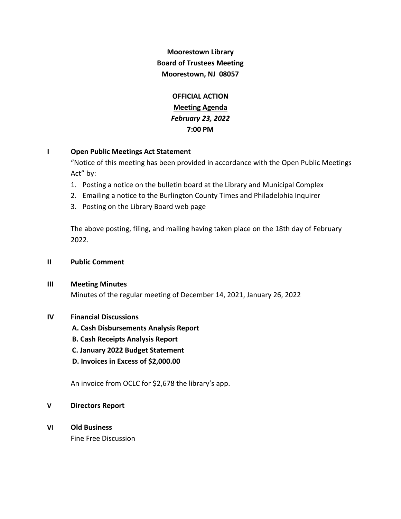**Moorestown Library Board of Trustees Meeting Moorestown, NJ 08057**

> **OFFICIAL ACTION Meeting Agenda** *February 23, 2022* **7:00 PM**

## **I Open Public Meetings Act Statement**

"Notice of this meeting has been provided in accordance with the Open Public Meetings Act" by:

- 1. Posting a notice on the bulletin board at the Library and Municipal Complex
- 2. Emailing a notice to the Burlington County Times and Philadelphia Inquirer
- 3. Posting on the Library Board web page

The above posting, filing, and mailing having taken place on the 18th day of February 2022.

- **II Public Comment**
- **III Meeting Minutes**

Minutes of the regular meeting of December 14, 2021, January 26, 2022

## **IV Financial Discussions**

 **A. Cash Disbursements Analysis Report**

- **B. Cash Receipts Analysis Report**
- **C. January 2022 Budget Statement**
- **D. Invoices in Excess of \$2,000.00**

An invoice from OCLC for \$2,678 the library's app.

## **V Directors Report**

**VI Old Business**

Fine Free Discussion